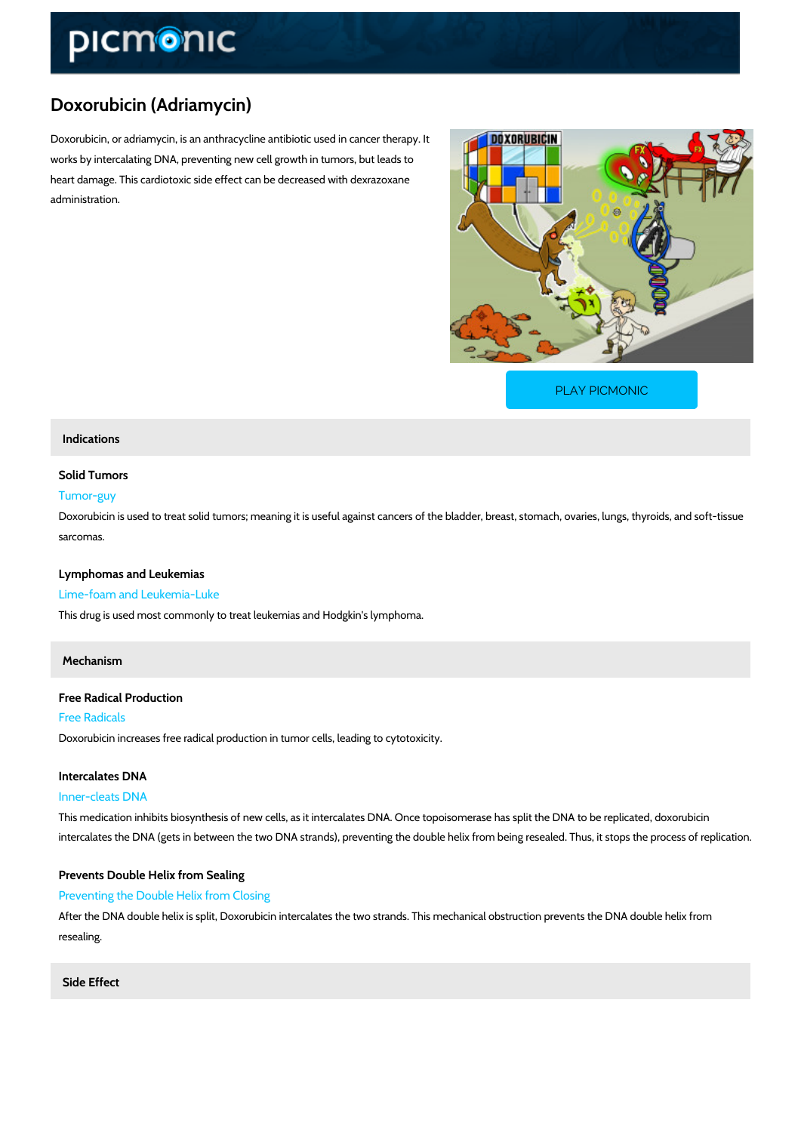# Doxorubicin (Adriamycin)

Doxorubicin, or adriamycin, is an anthracycline antibiotic used in cancer therapy. It works by intercalating DNA, preventing new cell growth in tumors, but leads to heart damage. This cardiotoxic side effect can be decreased with dexrazoxane administration.

[PLAY PICMONIC](https://www.picmonic.com/learn/doxorubicin-adriamycin_1838?utm_source=downloadable_content&utm_medium=distributedcontent&utm_campaign=pathways_pdf&utm_content=Doxorubicin (Adriamycin)&utm_ad_group=leads&utm_market=all)

# Indications

### Solid Tumors

# Tumor-guy

Doxorubicin is used to treat solid tumors; meaning it is useful against cancers of the bladder, sarcomas.

Lymphomas and Leukemias

Lime-foam and Leukemia-Luke

This drug is used most commonly to treat leukemias and Hodgkin's lymphoma.

# Mechanism

Free Radical Production Free Radicals Doxorubicin increases free radical production in tumor cells, leading to cytotoxicity.

Intercalates DNA Inner-cleats DNA This medication inhibits biosynthesis of new cells, as it intercalates DNA. Once topoisomeras intercalates the DNA (gets in between the two DNA strands), preventing the double helix from

Prevents Double Helix from Sealing Preventing the Double Helix from Closing After the DNA double helix is split, Doxorubicin intercalates the two strands. This mechanical resealing.

Side Effect